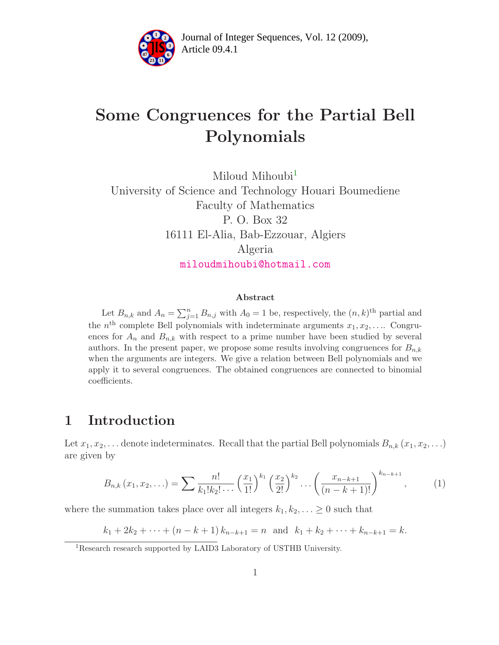

# Some Congruences for the Partial Bell Polynomials

Miloud Mihoubi<sup>[1](#page-0-0)</sup> University of Science and Technology Houari Boumediene Faculty of Mathematics P. O. Box 32 16111 El-Alia, Bab-Ezzouar, Algiers Algeria [miloudmihoubi@hotmail.com](mailto:miloudmihoubi@hotmail.com)

#### Abstract

Let  $B_{n,k}$  and  $A_n = \sum_{j=1}^n B_{n,j}$  with  $A_0 = 1$  be, respectively, the  $(n, k)$ <sup>th</sup> partial and the  $n^{\text{th}}$  complete Bell polynomials with indeterminate arguments  $x_1, x_2, \ldots$  Congruences for  $A_n$  and  $B_{n,k}$  with respect to a prime number have been studied by several authors. In the present paper, we propose some results involving congruences for  $B_{n,k}$ when the arguments are integers. We give a relation between Bell polynomials and we apply it to several congruences. The obtained congruences are connected to binomial coefficients.

#### 1 Introduction

Let  $x_1, x_2, \ldots$  denote indeterminates. Recall that the partial Bell polynomials  $B_{n,k}(x_1, x_2, \ldots)$ are given by

$$
B_{n,k}(x_1, x_2, \ldots) = \sum \frac{n!}{k_1! k_2! \ldots} \left(\frac{x_1}{1!}\right)^{k_1} \left(\frac{x_2}{2!}\right)^{k_2} \ldots \left(\frac{x_{n-k+1}}{(n-k+1)!}\right)^{k_{n-k+1}}, \quad (1)
$$

where the summation takes place over all integers  $k_1, k_2, \ldots \geq 0$  such that

$$
k_1 + 2k_2 + \cdots + (n - k + 1)k_{n-k+1} = n
$$
 and  $k_1 + k_2 + \cdots + k_{n-k+1} = k$ .

<span id="page-0-0"></span><sup>1</sup>Research research supported by LAID3 Laboratory of USTHB University.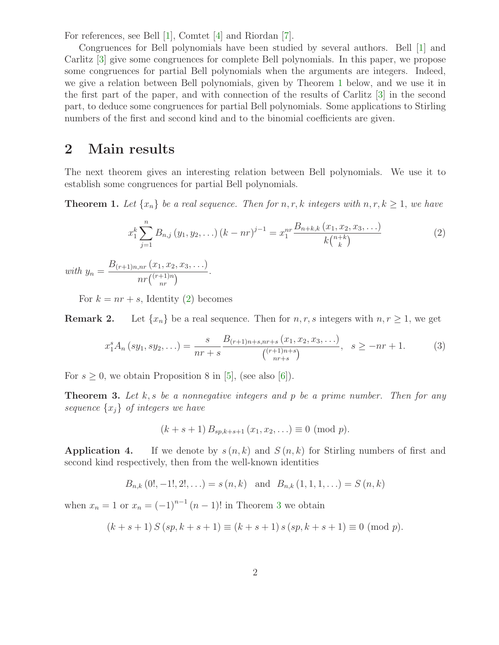For references, see Bell [\[1\]](#page-11-0), Comtet [\[4\]](#page-11-1) and Riordan [\[7\]](#page-11-2).

Congruences for Bell polynomials have been studied by several authors. Bell [\[1\]](#page-11-0) and Carlitz [\[3\]](#page-11-3) give some congruences for complete Bell polynomials. In this paper, we propose some congruences for partial Bell polynomials when the arguments are integers. Indeed, we give a relation between Bell polynomials, given by Theorem [1](#page-1-0) below, and we use it in the first part of the paper, and with connection of the results of Carlitz [\[3\]](#page-11-3) in the second part, to deduce some congruences for partial Bell polynomials. Some applications to Stirling numbers of the first and second kind and to the binomial coefficients are given.

#### 2 Main results

<span id="page-1-0"></span>The next theorem gives an interesting relation between Bell polynomials. We use it to establish some congruences for partial Bell polynomials.

**Theorem 1.** Let  $\{x_n\}$  be a real sequence. Then for  $n, r, k$  integers with  $n, r, k \geq 1$ , we have

<span id="page-1-1"></span>
$$
x_1^k \sum_{j=1}^n B_{n,j} (y_1, y_2, \ldots) (k - nr)^{j-1} = x_1^{nr} \frac{B_{n+k,k} (x_1, x_2, x_3, \ldots)}{k {n+k \choose k}}
$$
(2)

with  $y_n =$  $B_{(r+1)n,nr} (x_1, x_2, x_3, \ldots)$  $\frac{nr(\alpha_1, \alpha_2, \alpha_3, \ldots)}{nr{\binom{(r+1)n}{nr}}}.$ 

For  $k = nr + s$ , Identity [\(2\)](#page-1-1) becomes

**Remark 2.** Let  $\{x_n\}$  be a real sequence. Then for  $n, r, s$  integers with  $n, r \geq 1$ , we get

$$
x_1^s A_n (sy_1, sy_2, \ldots) = \frac{s}{nr+s} \frac{B_{(r+1)n+s, nr+s} (x_1, x_2, x_3, \ldots)}{\binom{(r+1)n+s}{nr+s}}, \quad s \ge -nr+1. \tag{3}
$$

<span id="page-1-2"></span>For  $s \geq 0$ , we obtain Proposition 8 in [\[5\]](#page-11-4), (see also [\[6\]](#page-11-5)).

**Theorem 3.** Let k, s be a nonnegative integers and p be a prime number. Then for any sequence  $\{x_i\}$  of integers we have

<span id="page-1-4"></span>
$$
(k+s+1) B_{sp,k+s+1} (x_1, x_2, \ldots) \equiv 0 \pmod{p}.
$$

**Application 4.** If we denote by  $s(n, k)$  and  $S(n, k)$  for Stirling numbers of first and second kind respectively, then from the well-known identities

$$
B_{n,k}
$$
 (0!, -1!, 2!,...) =  $s$  ( $n, k$ ) and  $B_{n,k}$  (1, 1, 1, ...) =  $S$  ( $n, k$ )

<span id="page-1-3"></span>when  $x_n = 1$  or  $x_n = (-1)^{n-1} (n-1)!$  in Theorem [3](#page-1-2) we obtain

$$
(k+s+1) S (sp, k+s+1) \equiv (k+s+1) s (sp, k+s+1) \equiv 0 \pmod{p}.
$$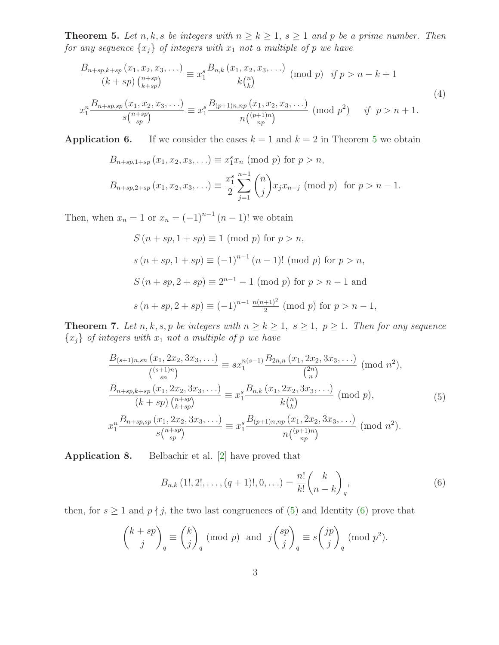**Theorem 5.** Let n, k, s be integers with  $n \geq k \geq 1$ ,  $s \geq 1$  and p be a prime number. Then for any sequence  $\{x_j\}$  of integers with  $x_1$  not a multiple of p we have

<span id="page-2-5"></span>
$$
\frac{B_{n+sp,k+sp}(x_1, x_2, x_3, \ldots)}{(k+sp) \binom{n+sp}{k+sp}} \equiv x_1^s \frac{B_{n,k}(x_1, x_2, x_3, \ldots)}{k \binom{n}{k}} \pmod{p} \quad \text{if } p > n-k+1
$$
\n
$$
x_1^n \frac{B_{n+sp,sp}(x_1, x_2, x_3, \ldots)}{s \binom{n+sp}{sp}} \equiv x_1^s \frac{B_{(p+1)n,np}(x_1, x_2, x_3, \ldots)}{n \binom{(p+1)n}{np}} \pmod{p^2} \quad \text{if } p > n+1.
$$
\n
$$
(4)
$$

**Application 6.** If we consider the cases  $k = 1$  and  $k = 2$  in Theorem [5](#page-1-3) we obtain

$$
B_{n+sp,1+sp}(x_1, x_2, x_3, \ldots) \equiv x_1^s x_n \pmod{p}
$$
 for  $p > n$ ,

$$
B_{n+sp,2+sp}(x_1, x_2, x_3, \ldots) \equiv \frac{x_1^s}{2} \sum_{j=1}^{n-1} {n \choose j} x_j x_{n-j} \pmod{p} \text{ for } p > n-1.
$$

Then, when  $x_n = 1$  or  $x_n = (-1)^{n-1} (n-1)!$  we obtain

$$
S (n + sp, 1 + sp) \equiv 1 \pmod{p} \text{ for } p > n,
$$
  
\n
$$
s (n + sp, 1 + sp) \equiv (-1)^{n-1} (n - 1)! \pmod{p} \text{ for } p > n,
$$
  
\n
$$
S (n + sp, 2 + sp) \equiv 2^{n-1} - 1 \pmod{p} \text{ for } p > n - 1 \text{ and}
$$
  
\n
$$
s (n + sp, 2 + sp) \equiv (-1)^{n-1} \frac{n(n+1)^2}{2} \pmod{p} \text{ for } p > n - 1,
$$

<span id="page-2-3"></span>**Theorem 7.** Let n, k, s, p be integers with  $n \ge k \ge 1$ ,  $s \ge 1$ ,  $p \ge 1$ . Then for any sequence  ${x_j}$  of integers with  $x_1$  not a multiple of p we have

<span id="page-2-0"></span>
$$
\frac{B_{(s+1)n,sn}(x_1, 2x_2, 3x_3, \ldots)}{\binom{(s+1)n}{sn}} \equiv sx_1^{n(s-1)} \frac{B_{2n,n}(x_1, 2x_2, 3x_3, \ldots)}{\binom{2n}{n}} \pmod{n^2},
$$
\n
$$
\frac{B_{n+sp,k+sp}(x_1, 2x_2, 3x_3, \ldots)}{\binom{n+sp}{k+sp}} \equiv x_1^s \frac{B_{n,k}(x_1, 2x_2, 3x_3, \ldots)}{k \binom{n}{k}} \pmod{p},
$$
\n
$$
x_1^n \frac{B_{n+sp,sp}(x_1, 2x_2, 3x_3, \ldots)}{s \binom{n+sp}{sp}} \equiv x_1^s \frac{B_{(p+1)n,np}(x_1, 2x_2, 3x_3, \ldots)}{n \binom{(p+1)n}{np}} \pmod{n^2}.
$$
\n
$$
(5)
$$

<span id="page-2-2"></span>Application 8. Belbachir et al. [\[2\]](#page-11-6) have proved that

<span id="page-2-1"></span>
$$
B_{n,k}(1!,2!,\ldots,(q+1)!,0,\ldots) = \frac{n!}{k!} \binom{k}{n-k}_q,
$$
\n(6)

<span id="page-2-4"></span>then, for  $s \geq 1$  and  $p \nmid j$ , the two last congruences of [\(5\)](#page-2-0) and Identity [\(6\)](#page-2-1) prove that

$$
\binom{k+sp}{j}_q \equiv \binom{k}{j}_q \pmod{p} \text{ and } j\binom{sp}{j}_q \equiv s\binom{jp}{j}_q \pmod{p^2}.
$$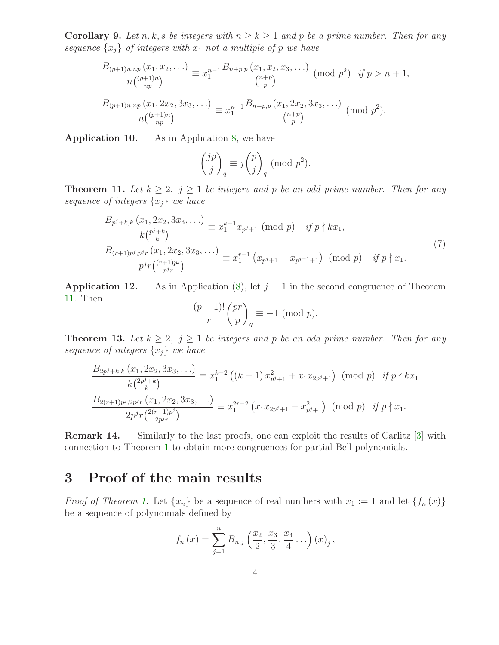**Corollary 9.** Let n, k, s be integers with  $n \geq k \geq 1$  and p be a prime number. Then for any sequence  $\{x_j\}$  of integers with  $x_1$  not a multiple of p we have

$$
\frac{B_{(p+1)n, np}(x_1, x_2, \ldots)}{n\binom{(p+1)n}{np}} \equiv x_1^{n-1} \frac{B_{n+p, p}(x_1, x_2, x_3, \ldots)}{\binom{n+p}{p}} \pmod{p^2} \quad \text{if } p > n+1,
$$
\n
$$
\frac{B_{(p+1)n, np}(x_1, 2x_2, 3x_3, \ldots)}{n\binom{(p+1)n}{np}} \equiv x_1^{n-1} \frac{B_{n+p, p}(x_1, 2x_2, 3x_3, \ldots)}{\binom{n+p}{p}} \pmod{p^2}.
$$

Application 10. As in Application [8,](#page-2-2) we have

$$
\binom{jp}{j}_q \equiv j \binom{p}{j}_q \pmod{p^2}.
$$

<span id="page-3-0"></span>**Theorem 11.** Let  $k \geq 2$ ,  $j \geq 1$  be integers and p be an odd prime number. Then for any sequence of integers  $\{x_j\}$  we have

<span id="page-3-1"></span>
$$
\frac{B_{p^j+k,k}(x_1, 2x_2, 3x_3, \ldots)}{k {p^j+k \choose k}} \equiv x_1^{k-1} x_{p^j+1} \pmod{p} \quad \text{if } p \nmid kx_1,
$$
\n
$$
\frac{B_{(r+1)p^j, p^j r}(x_1, 2x_2, 3x_3, \ldots)}{p^j r {r+1 p^j \choose p^j r}} \equiv x_1^{r-1} (x_{p^j+1} - x_{p^{j-1}+1}) \pmod{p} \quad \text{if } p \nmid x_1.
$$
\n
$$
(7)
$$

**Application 12.** As in Application [\(8\)](#page-2-2), let  $j = 1$  in the second congruence of Theorem [11.](#page-3-0) Then

$$
\frac{(p-1)!}{r} \binom{pr}{p}_q \equiv -1 \pmod{p}.
$$

<span id="page-3-2"></span>**Theorem 13.** Let  $k \geq 2$ ,  $j \geq 1$  be integers and p be an odd prime number. Then for any sequence of integers  $\{x_j\}$  we have

$$
\frac{B_{2p^{j}+k,k}(x_{1}, 2x_{2}, 3x_{3}, \ldots)}{k\binom{2p^{j}+k}{k}} \equiv x_{1}^{k-2} ((k-1) x_{p^{j}+1}^{2} + x_{1}x_{2p^{j}+1}) \pmod{p} \quad \text{if } p \nmid kx_{1}
$$
\n
$$
\frac{B_{2(r+1)p^{j}, 2p^{j}r}(x_{1}, 2x_{2}, 3x_{3}, \ldots)}{2p^{j}r\binom{2(r+1)p^{j}}{2p^{j}r}} \equiv x_{1}^{2r-2} (x_{1}x_{2p^{j}+1} - x_{p^{j}+1}^{2}) \pmod{p} \quad \text{if } p \nmid x_{1}.
$$

Remark 14. Similarly to the last proofs, one can exploit the results of Carlitz [\[3\]](#page-11-3) with connection to Theorem [1](#page-1-0) to obtain more congruences for partial Bell polynomials.

### 3 Proof of the main results

*Proof of Theorem [1.](#page-1-0)* Let  $\{x_n\}$  be a sequence of real numbers with  $x_1 := 1$  and let  $\{f_n(x)\}$ be a sequence of polynomials defined by

$$
f_n(x) = \sum_{j=1}^n B_{n,j}(\frac{x_2}{2}, \frac{x_3}{3}, \frac{x_4}{4} \ldots)(x)_j,
$$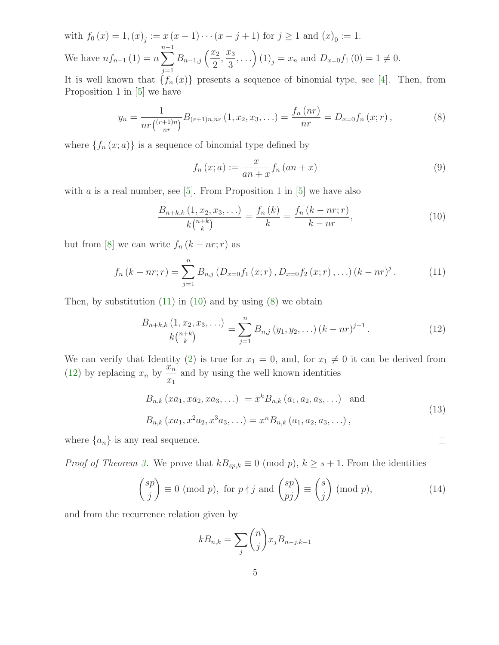with  $f_0(x) = 1, (x)_j := x(x - 1) \cdots (x - j + 1)$  for  $j \ge 1$  and  $(x)_0 := 1$ . We have  $nf_{n-1}(1) = n \sum_{n=1}^{n-1}$  $j=1$  $B_{n-1,j}\left(\frac{x_2}{2}\right)$  $\frac{x_3}{2}$ 3  $, \ldots$ )  $(1)_j = x_n$  and  $D_{x=0} f_1(0) = 1 \neq 0$ .

It is well known that  $\{f_n(x)\}\$  presents a sequence of binomial type, see [\[4\]](#page-11-1). Then, from Proposition 1 in [\[5\]](#page-11-4) we have

<span id="page-4-2"></span>
$$
y_n = \frac{1}{nr\binom{(r+1)n}{nr}} B_{(r+1)n, nr} \left(1, x_2, x_3, \ldots\right) = \frac{f_n\left(nr\right)}{nr} = D_{x=0} f_n \left(x; r\right),\tag{8}
$$

where  $\{f_n(x; a)\}\$ is a sequence of binomial type defined by

<span id="page-4-1"></span>
$$
f_n(x;a) := \frac{x}{an + x} f_n(an + x)
$$
\n<sup>(9)</sup>

with a is a real number, see [\[5\]](#page-11-4). From Proposition 1 in [5] we have also

<span id="page-4-0"></span>
$$
\frac{B_{n+k,k}(1, x_2, x_3, \ldots)}{k {n+k \choose k}} = \frac{f_n(k)}{k} = \frac{f_n(k - nr; r)}{k - nr},
$$
\n(10)

but from [\[8\]](#page-11-7) we can write  $f_n (k - nr; r)$  as

$$
f_n (k - nr; r) = \sum_{j=1}^n B_{n,j} (D_{x=0} f_1 (x; r), D_{x=0} f_2 (x; r), \ldots) (k - nr)^j.
$$
 (11)

Then, by substitution  $(11)$  in  $(10)$  and by using  $(8)$  we obtain

<span id="page-4-3"></span>
$$
\frac{B_{n+k,k}(1,x_2,x_3,\ldots)}{k\binom{n+k}{k}} = \sum_{j=1}^n B_{n,j}(y_1,y_2,\ldots)(k-nr)^{j-1}.
$$
 (12)

We can verify that Identity [\(2\)](#page-1-1) is true for  $x_1 = 0$ , and, for  $x_1 \neq 0$  it can be derived from [\(12\)](#page-4-3) by replacing  $x_n$  by  $\frac{x_n}{x_n}$  $\frac{x_n}{x_1}$  and by using the well known identities

<span id="page-4-4"></span>
$$
B_{n,k} (xa_1, xa_2, xa_3, \ldots) = x^k B_{n,k} (a_1, a_2, a_3, \ldots) \text{ and}
$$
  
\n
$$
B_{n,k} (xa_1, x^2 a_2, x^3 a_3, \ldots) = x^n B_{n,k} (a_1, a_2, a_3, \ldots),
$$
\n(13)

 $\Box$ 

where  $\{a_n\}$  is any real sequence.

*Proof of Theorem [3.](#page-1-2)* We prove that  $kB_{sp,k} \equiv 0 \pmod{p}$ ,  $k \geq s+1$ . From the identities

$$
\binom{sp}{j} \equiv 0 \pmod{p}, \text{ for } p \nmid j \text{ and } \binom{sp}{pj} \equiv \binom{s}{j} \pmod{p},\tag{14}
$$

and from the recurrence relation given by

$$
kB_{n,k} = \sum_{j} \binom{n}{j} x_j B_{n-j,k-1}
$$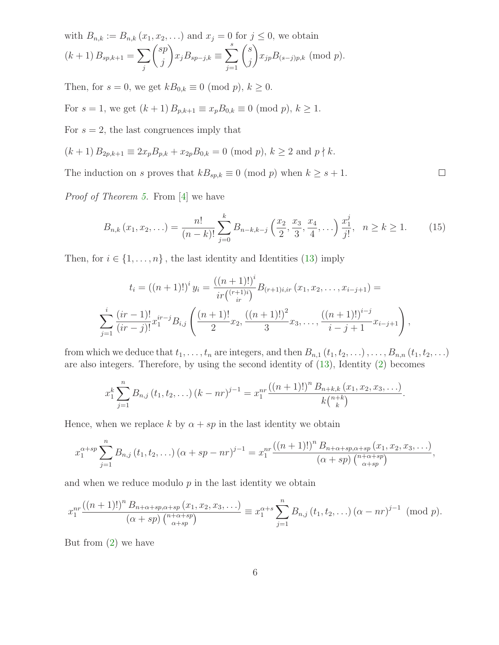with 
$$
B_{n,k} := B_{n,k}(x_1, x_2, ...)
$$
 and  $x_j = 0$  for  $j \le 0$ , we obtain  
\n
$$
(k+1) B_{sp,k+1} = \sum_j {sp \choose j} x_j B_{sp-j,k} \equiv \sum_{j=1}^s {s \choose j} x_{jp} B_{(s-j)p,k} \pmod{p}.
$$

Then, for  $s = 0$ , we get  $kB_{0,k} \equiv 0 \pmod{p}$ ,  $k \ge 0$ .

For  $s = 1$ , we get  $(k + 1) B_{p,k+1} \equiv x_p B_{0,k} \equiv 0 \pmod{p}$ ,  $k \ge 1$ .

For  $s = 2$ , the last congruences imply that

$$
(k+1) B_{2p,k+1} \equiv 2x_p B_{p,k} + x_{2p} B_{0,k} = 0 \pmod{p}, k \ge 2 \text{ and } p \nmid k.
$$

The induction on s proves that  $kB_{sp,k} \equiv 0 \pmod{p}$  when  $k \geq s+1$ .

Proof of Theorem [5.](#page-1-3) From [\[4\]](#page-11-1) we have

<span id="page-5-0"></span>
$$
B_{n,k}(x_1, x_2, \ldots) = \frac{n!}{(n-k)!} \sum_{j=0}^k B_{n-k,k-j} \left(\frac{x_2}{2}, \frac{x_3}{3}, \frac{x_4}{4}, \ldots\right) \frac{x_1^j}{j!}, \quad n \ge k \ge 1. \tag{15}
$$

 $\Box$ 

Then, for  $i \in \{1, \ldots, n\}$ , the last identity and Identities [\(13\)](#page-4-4) imply

$$
t_{i} = ((n + 1)!)^{i} y_{i} = \frac{((n + 1)!)^{i}}{ir\binom{(r + 1)i}{ir}} B_{(r+1)i,ir}(x_{1}, x_{2}, \ldots, x_{i-j+1}) =
$$
  

$$
\sum_{j=1}^{i} \frac{(ir - 1)!}{(ir - j)!} x_{1}^{ir - j} B_{i,j} \left( \frac{(n + 1)!}{2} x_{2}, \frac{((n + 1)!)^{2}}{3} x_{3}, \ldots, \frac{((n + 1)!)^{i - j}}{i - j + 1} x_{i - j+1} \right),
$$

from which we deduce that  $t_1, \ldots, t_n$  are integers, and then  $B_{n,1} (t_1, t_2, \ldots), \ldots, B_{n,n} (t_1, t_2, \ldots)$ are also integers. Therefore, by using the second identity of [\(13\)](#page-4-4), Identity [\(2\)](#page-1-1) becomes

$$
x_1^k \sum_{j=1}^n B_{n,j} (t_1, t_2, \ldots) (k - nr)^{j-1} = x_1^{nr} \frac{((n+1)!)^n B_{n+k,k} (x_1, x_2, x_3, \ldots)}{k {n+k \choose k}}.
$$

Hence, when we replace k by  $\alpha + sp$  in the last identity we obtain

$$
x_1^{\alpha+sp} \sum_{j=1}^n B_{n,j} (t_1, t_2, \ldots) (\alpha + sp - nr)^{j-1} = x_1^{nr} \frac{((n+1)!)^n B_{n+\alpha+sp,\alpha+sp}(x_1, x_2, x_3, \ldots)}{(\alpha+sp) \binom{n+\alpha+sp}{\alpha+sp}},
$$

and when we reduce modulo  $p$  in the last identity we obtain

$$
x_1^{nr} \frac{((n+1)!)^n B_{n+\alpha+sp,\alpha+sp}(x_1, x_2, x_3, \ldots)}{(\alpha+sp) \binom{n+\alpha+sp}{\alpha+sp}} \equiv x_1^{\alpha+s} \sum_{j=1}^n B_{n,j} (t_1, t_2, \ldots) (\alpha-nr)^{j-1} \pmod{p}.
$$

But from [\(2\)](#page-1-1) we have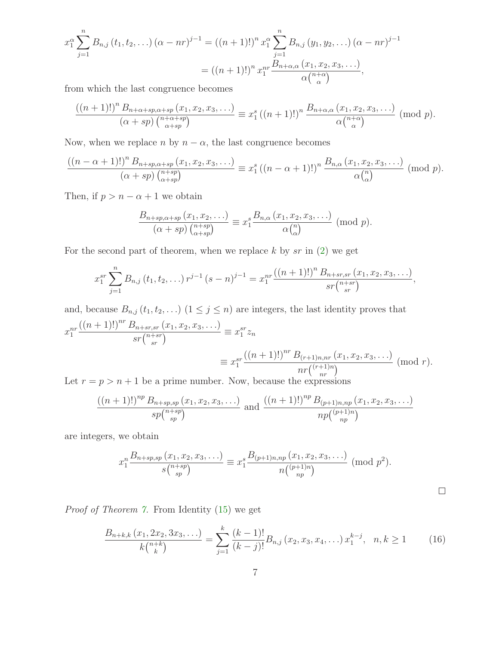$$
x_1^{\alpha} \sum_{j=1}^n B_{n,j} (t_1, t_2, \ldots) (\alpha - nr)^{j-1} = ((n+1)!)^n x_1^{\alpha} \sum_{j=1}^n B_{n,j} (y_1, y_2, \ldots) (\alpha - nr)^{j-1}
$$
  
=  $((n+1)!)^n x_1^{nr} \frac{B_{n+\alpha,\alpha} (x_1, x_2, x_3, \ldots)}{\alpha {n+\alpha \choose \alpha}},$ 

from which the last congruence becomes

$$
\frac{((n+1)!)^n B_{n+\alpha+sp,\alpha+sp}(x_1,x_2,x_3,\ldots)}{(\alpha+sp) \binom{n+\alpha+sp}{\alpha+sp}} \equiv x_1^s ((n+1)!)^n \frac{B_{n+\alpha,\alpha}(x_1,x_2,x_3,\ldots)}{\alpha \binom{n+\alpha}{\alpha}} \pmod{p}.
$$

Now, when we replace n by  $n - \alpha$ , the last congruence becomes

$$
\frac{((n-\alpha+1)!)^n B_{n+sp,\alpha+sp}(x_1, x_2, x_3, \ldots)}{(\alpha+sp) {n+sp \choose \alpha+sp}} \equiv x_1^s ((n-\alpha+1)!)^n \frac{B_{n,\alpha}(x_1, x_2, x_3, \ldots)}{\alpha {n \choose \alpha}} \pmod{p}.
$$

Then, if  $p > n - \alpha + 1$  we obtain

$$
\frac{B_{n+sp,\alpha+sp}(x_1,x_2,\ldots)}{(\alpha+sp)\binom{n+sp}{\alpha+sp}}\equiv x_1^s\frac{B_{n,\alpha}(x_1,x_2,x_3,\ldots)}{\alpha\binom{n}{\alpha}}\;(\mathrm{mod}\;p).
$$

For the second part of theorem, when we replace  $k$  by sr in  $(2)$  we get

$$
x_1^{sr} \sum_{j=1}^n B_{n,j} (t_1, t_2, \ldots) r^{j-1} (s-n)^{j-1} = x_1^{nr} \frac{((n+1)!)^n B_{n+sr,sr} (x_1, x_2, x_3, \ldots)}{sr {n+sr \choose sr}},
$$

and, because  $B_{n,j}$   $(t_1, t_2, \ldots)$   $(1 \leq j \leq n)$  are integers, the last identity proves that  $x_1^{nr}$  $((n+1)!)^{nr} B_{n+sr,sr}(x_1,x_2,x_3,\ldots)$  $\frac{\sum_{n+srs, sr} (x_1, x_2, x_3, \ldots)}{sr\binom{n+sr}{sr}} \equiv x_1^{sr}$  $\int_1^{sr} z_n$  $\equiv x_1^{sr}$  $((n+1)!)^{nr} B_{(r+1)n,nr} (x_1, x_2, x_3, \ldots)$  $\frac{n r\binom{(r+1)n, nr(\alpha_1, \alpha_2, \alpha_3, \ldots)}{nr\binom{(r+1)n}{nr}}}{\text{ (mod }} r).$ 

Let  $r = p > n + 1$  be a prime number. Now, because the expressions

$$
\frac{((n+1)!)^{np} B_{n+sp,sp}(x_1, x_2, x_3, \ldots)}{sp\binom{n+sp}{sp}} \text{ and } \frac{((n+1)!)^{np} B_{(p+1)n,np}(x_1, x_2, x_3, \ldots)}{np\binom{(p+1)n}{np}}
$$

are integers, we obtain

<span id="page-6-0"></span>
$$
x_1^{n} \frac{B_{n+sp,sp}(x_1, x_2, x_3, \ldots)}{s {n+sp \choose sp}} \equiv x_1^{s} \frac{B_{(p+1)n,np}(x_1, x_2, x_3, \ldots)}{n {p+sp \choose np}} \pmod{p^2}.
$$

Proof of Theorem [7.](#page-2-3) From Identity [\(15\)](#page-5-0) we get

$$
\frac{B_{n+k,k}(x_1, 2x_2, 3x_3, \ldots)}{k\binom{n+k}{k}} = \sum_{j=1}^k \frac{(k-1)!}{(k-j)!} B_{n,j}(x_2, x_3, x_4, \ldots) x_1^{k-j}, \quad n, k \ge 1 \tag{16}
$$

 $\Box$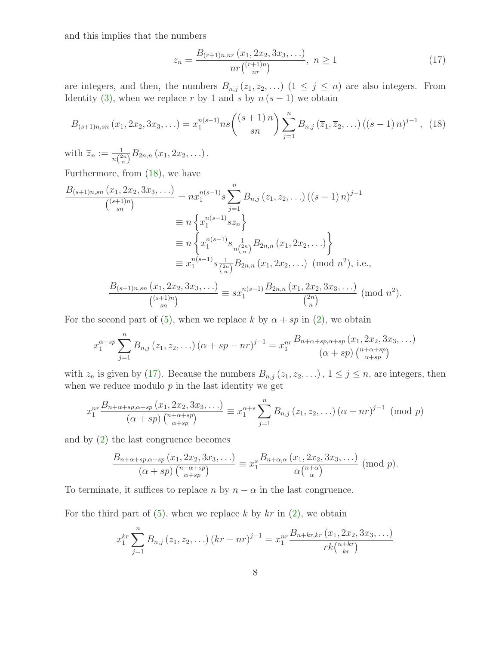and this implies that the numbers

<span id="page-7-1"></span><span id="page-7-0"></span>
$$
z_n = \frac{B_{(r+1)n,nr}(x_1, 2x_2, 3x_3, \ldots)}{nr\binom{(r+1)n}{nr}}, \ n \ge 1
$$
\n(17)

are integers, and then, the numbers  $B_{n,j}(z_1, z_2, \ldots)$   $(1 \leq j \leq n)$  are also integers. From Identity [\(3\)](#page-1-4), when we replace r by 1 and s by  $n (s - 1)$  we obtain

$$
B_{(s+1)n,sn}(x_1, 2x_2, 3x_3, \ldots) = x_1^{n(s-1)} n s \binom{(s+1)n}{sn} \sum_{j=1}^n B_{n,j}(\overline{z}_1, \overline{z}_2, \ldots) ((s-1)n)^{j-1}, \tag{18}
$$

with  $\overline{z}_n := \frac{1}{n\binom{2n}{n}} B_{2n,n}(x_1, 2x_2, \ldots)$ .

Furthermore, from [\(18\)](#page-7-0), we have

$$
\frac{B_{(s+1)n,sn}(x_1, 2x_2, 3x_3, \ldots)}{\binom{(s+1)n}{sn}} = nx_1^{n(s-1)} s \sum_{j=1}^n B_{n,j}(z_1, z_2, \ldots) ((s-1) n)^{j-1}
$$

$$
\equiv n \left\{ x_1^{n(s-1)} s z_n \right\}
$$

$$
\equiv n \left\{ x_1^{n(s-1)} s \frac{1}{n \binom{2n}{n}} B_{2n,n}(x_1, 2x_2, \ldots) \right\}
$$

$$
\equiv x_1^{n(s-1)} s \frac{1}{\binom{2n}{n}} B_{2n,n}(x_1, 2x_2, \ldots) \pmod{n^2}, \text{ i.e.,}
$$

$$
\frac{B_{(s+1)n,sn}(x_1, 2x_2, 3x_3, \ldots)}{\binom{(s+1)n}{sn}} \equiv sx_1^{n(s-1)} \frac{B_{2n,n}(x_1, 2x_2, 3x_3, \ldots)}{\binom{2n}{n}} \pmod{n^2}.
$$

For the second part of [\(5\)](#page-2-0), when we replace k by  $\alpha + sp$  in [\(2\)](#page-1-1), we obtain

$$
x_1^{\alpha+sp} \sum_{j=1}^n B_{n,j}(z_1, z_2, \ldots) (\alpha + sp - nr)^{j-1} = x_1^{nr} \frac{B_{n+\alpha+sp,\alpha+sp}(x_1, 2x_2, 3x_3, \ldots)}{(\alpha+sp) \binom{n+\alpha+sp}{\alpha+sp}}
$$

with  $z_n$  is given by [\(17\)](#page-7-1). Because the numbers  $B_{n,j}(z_1, z_2, \ldots)$ ,  $1 \le j \le n$ , are integers, then when we reduce modulo  $p$  in the last identity we get

$$
x_1^{nr} \frac{B_{n+\alpha+sp,\alpha+sp}(x_1, 2x_2, 3x_3, \ldots)}{(\alpha+sp) \binom{n+\alpha+sp}{\alpha+sp}} \equiv x_1^{\alpha+s} \sum_{j=1}^n B_{n,j}(z_1, z_2, \ldots) (\alpha-nr)^{j-1} \pmod{p}
$$

and by [\(2\)](#page-1-1) the last congruence becomes

$$
\frac{B_{n+\alpha+sp,\alpha+sp}(x_1, 2x_2, 3x_3, \ldots)}{(\alpha+sp) \binom{n+\alpha+sp}{\alpha+sp}} \equiv x_1^s \frac{B_{n+\alpha,\alpha}(x_1, 2x_2, 3x_3, \ldots)}{\alpha \binom{n+\alpha}{\alpha}} \pmod{p}.
$$

To terminate, it suffices to replace n by  $n - \alpha$  in the last congruence.

For the third part of  $(5)$ , when we replace k by  $kr$  in  $(2)$ , we obtain

$$
x_1^{kr} \sum_{j=1}^n B_{n,j}(z_1, z_2, \ldots) (kr - nr)^{j-1} = x_1^{nr} \frac{B_{n+kr,kr}(x_1, 2x_2, 3x_3, \ldots)}{rk \binom{n+kr}{kr}}
$$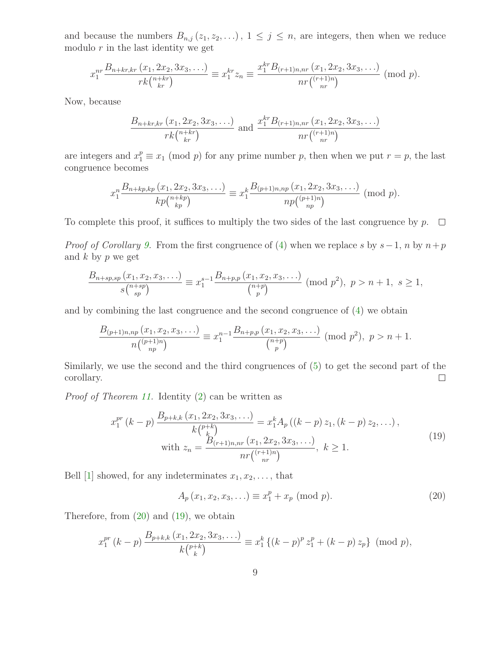and because the numbers  $B_{n,j}(z_1, z_2, \ldots), 1 \leq j \leq n$ , are integers, then when we reduce modulo  $r$  in the last identity we get

$$
x_1^{nr} \frac{B_{n+kr,kr}(x_1, 2x_2, 3x_3, \ldots)}{rk\binom{n+kr}{kr}} \equiv x_1^{kr} z_n \equiv \frac{x_1^{kr} B_{(r+1)n, nr}(x_1, 2x_2, 3x_3, \ldots)}{nr\binom{(r+1)n}{nr}} \pmod{p}.
$$

Now, because

$$
\frac{B_{n+kr,kr} (x_1, 2x_2, 3x_3, \ldots)}{rk {n+kr \choose kr}} \text{ and } \frac{x_1^{kr} B_{(r+1)n, nr} (x_1, 2x_2, 3x_3, \ldots)}{nr {r+1)n \choose nr}}
$$

are integers and  $x_1^p \equiv x_1 \pmod{p}$  for any prime number p, then when we put  $r = p$ , the last congruence becomes

$$
x_1^{n} \frac{B_{n+kp,kp}(x_1, 2x_2, 3x_3, \ldots)}{kp\binom{n+kp}{kp}} \equiv x_1^{k} \frac{B_{(p+1)n, np}(x_1, 2x_2, 3x_3, \ldots)}{np\binom{(p+1)n}{np}} \pmod{p}.
$$

To complete this proof, it suffices to multiply the two sides of the last congruence by  $p$ .  $\Box$ 

*Proof of Corollary [9.](#page-2-4)* From the first congruence of [\(4\)](#page-2-5) when we replace s by  $s-1$ , n by  $n+p$ and  $k$  by  $p$  we get

$$
\frac{B_{n+sp,sp}(x_1, x_2, x_3, \ldots)}{s\binom{n+sp}{sp}} \equiv x_1^{s-1} \frac{B_{n+p,p}(x_1, x_2, x_3, \ldots)}{\binom{n+p}{p}} \pmod{p^2}, \ p > n+1, \ s \ge 1,
$$

and by combining the last congruence and the second congruence of [\(4\)](#page-2-5) we obtain

$$
\frac{B_{(p+1)n, np}(x_1, x_2, x_3, \ldots)}{n {p+1 \choose np}} \equiv x_1^{n-1} \frac{B_{n+p, p}(x_1, x_2, x_3, \ldots)}{{n+p \choose p}} \pmod{p^2}, \ p > n+1.
$$

Similarly, we use the second and the third congruences of [\(5\)](#page-2-0) to get the second part of the corollary.  $\Box$ 

Proof of Theorem [11.](#page-3-0) Identity [\(2\)](#page-1-1) can be written as

$$
x_1^{pr}(k-p) \frac{B_{p+k,k}(x_1, 2x_2, 3x_3, \ldots)}{k {p+k \choose k}} = x_1^k A_p((k-p) z_1, (k-p) z_2, \ldots),
$$
  
with 
$$
z_n = \frac{B_{(r+1)n, nr}(x_1, 2x_2, 3x_3, \ldots)}{nr {r+n \choose nr}}, \ k \ge 1.
$$
 (19)

Bell [\[1\]](#page-11-0) showed, for any indeterminates  $x_1, x_2, \ldots$ , that

<span id="page-8-1"></span><span id="page-8-0"></span>
$$
A_p(x_1, x_2, x_3, \ldots) \equiv x_1^p + x_p \; (\text{mod } p). \tag{20}
$$

Therefore, from  $(20)$  and  $(19)$ , we obtain

$$
x_1^{pr}(k-p)\frac{B_{p+k,k}(x_1,2x_2,3x_3,\ldots)}{k\binom{p+k}{k}} \equiv x_1^k \{(k-p)^p z_1^p + (k-p) z_p\} \pmod{p},
$$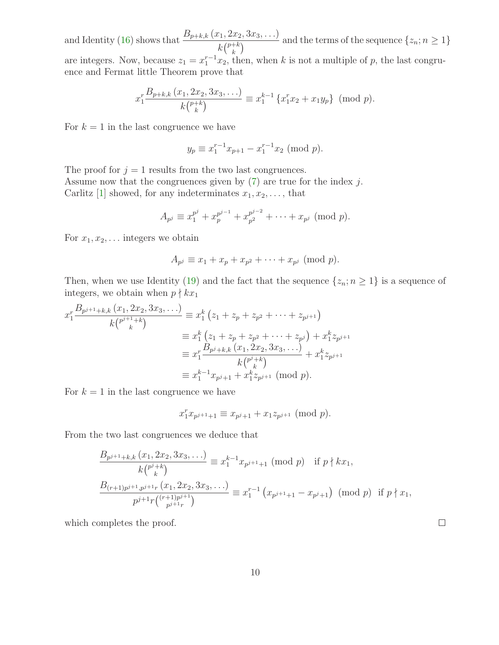and Identity [\(16\)](#page-6-0) shows that  $\frac{B_{p+k,k}(x_1, 2x_2, 3x_3, \ldots)}{L^{(p+k)}}$  $k\binom{p+k}{k}$  $\frac{d(x_1, x_2, \ldots, x_n)}{d(x_n, x_n)}$  and the terms of the sequence  $\{z_n; n \geq 1\}$ are integers. Now, because  $z_1 = x_1^{r-1} x_2$ , then, when k is not a multiple of p, the last congruence and Fermat little Theorem prove that

$$
x_1^r \frac{B_{p+k,k}(x_1, 2x_2, 3x_3, \ldots)}{k {p+k \choose k}} \equiv x_1^{k-1} \{x_1^r x_2 + x_1 y_p\} \pmod{p}.
$$

For  $k = 1$  in the last congruence we have

$$
y_p \equiv x_1^{r-1} x_{p+1} - x_1^{r-1} x_2 \pmod{p}.
$$

The proof for  $j = 1$  results from the two last congruences.

Assume now that the congruences given by  $(7)$  are true for the index j. Carlitz [\[1\]](#page-11-0) showed, for any indeterminates  $x_1, x_2, \ldots$ , that

$$
A_{p^j} \equiv x_1^{p^j} + x_p^{p^{j-1}} + x_{p^2}^{p^{j-2}} + \cdots + x_{p^j} \pmod{p}.
$$

For  $x_1, x_2, \ldots$  integers we obtain

$$
A_{p^j} \equiv x_1 + x_p + x_{p^2} + \cdots + x_{p^j}
$$
 (mod  $p$ ).

Then, when we use Identity [\(19\)](#page-8-1) and the fact that the sequence  $\{z_n; n \geq 1\}$  is a sequence of integers, we obtain when  $p \nmid kx_1$ 

$$
x_1^r \frac{B_{p^{j+1}+k,k}(x_1, 2x_2, 3x_3, \ldots)}{k {p^{j+1}+k}}
$$
  
\n
$$
\equiv x_1^k (z_1 + z_p + z_{p^2} + \cdots + z_{p^{j+1}})
$$
  
\n
$$
\equiv x_1^k (z_1 + z_p + z_{p^2} + \cdots + z_{p^{j}}) + x_1^k z_{p^{j+1}}
$$
  
\n
$$
\equiv x_1^r \frac{B_{p^{j}+k,k}(x_1, 2x_2, 3x_3, \ldots)}{k {p^{j+k} \choose k}}
$$
  
\n
$$
\equiv x_1^{k-1} x_{p^{j}+1} + x_1^k z_{p^{j+1}}
$$
 (mod  $p$ ).

For  $k = 1$  in the last congruence we have

$$
x_1^r x_{p^{j+1}+1} \equiv x_{p^j+1} + x_1 z_{p^{j+1}} \pmod{p}.
$$

From the two last congruences we deduce that

$$
\frac{B_{p^{j+1}+k,k}(x_1, 2x_2, 3x_3, \ldots)}{k\binom{p^j+k}{k}} \equiv x_1^{k-1} x_{p^{j+1}+1} \pmod{p} \quad \text{if } p \nmid kx_1,
$$
\n
$$
\frac{B_{(r+1)p^{j+1}, p^{j+1}r}(x_1, 2x_2, 3x_3, \ldots)}{p^{j+1}r\binom{(r+1)p^{j+1}}{p^{j+1}r}} \equiv x_1^{r-1} \left( x_{p^{j+1}+1} - x_{p^{j}+1} \right) \pmod{p} \quad \text{if } p \nmid x_1,
$$

which completes the proof.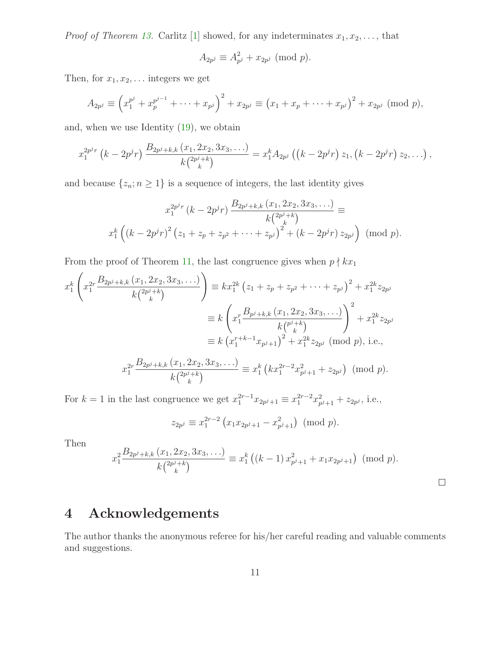*Proof of Theorem [13.](#page-3-2)* Carlitz [\[1\]](#page-11-0) showed, for any indeterminates  $x_1, x_2, \ldots$ , that

$$
A_{2p^j} \equiv A_{p^j}^2 + x_{2p^j} \pmod{p}.
$$

Then, for  $x_1, x_2, \ldots$  integers we get

$$
A_{2p^j} \equiv \left(x_1^{p^j} + x_1^{p^{j-1}} + \cdots + x_{p^j}\right)^2 + x_{2p^j} \equiv \left(x_1 + x_p + \cdots + x_{p^j}\right)^2 + x_{2p^j} \pmod{p},
$$

and, when we use Identity [\(19\)](#page-8-1), we obtain

$$
x_1^{2p^{j}r}\left(k-2p^jr\right)\frac{B_{2p^j+k,k}\left(x_1,2x_2,3x_3,\ldots\right)}{k\binom{2p^j+k}{k}}=x_1^kA_{2p^j}\left(\left(k-2p^jr\right)z_1,\left(k-2p^jr\right)z_2,\ldots\right),
$$

and because  $\{z_n; n \geq 1\}$  is a sequence of integers, the last identity gives

$$
x_1^{2p^j r} (k - 2p^j r) \frac{B_{2p^j + k, k} (x_1, 2x_2, 3x_3, \ldots)}{k {2p^j + k \choose k}} \equiv
$$
  

$$
x_1^k \left( (k - 2p^j r)^2 (z_1 + z_p + z_{p^2} + \cdots + z_{p^j})^2 + (k - 2p^j r) z_{2p^j} \right) \pmod{p}.
$$

From the proof of Theorem [11,](#page-3-0) the last congruence gives when  $p \nmid kx_1$ 

$$
x_1^k \left( x_1^{2r} \frac{B_{2p^j+k,k} (x_1, 2x_2, 3x_3, \ldots)}{k \binom{2p^j+k}{k}} \right) \equiv k x_1^{2k} \left( z_1 + z_p + z_{p^2} + \cdots + z_{p^j} \right)^2 + x_1^{2k} z_{2p^j}
$$

$$
\equiv k \left( x_1^r \frac{B_{p^j+k,k} (x_1, 2x_2, 3x_3, \ldots)}{k \binom{p^j+k}{k}} \right)^2 + x_1^{2k} z_{2p^j}
$$

$$
\equiv k \left( x_1^{r+k-1} x_{p^j+1} \right)^2 + x_1^{2k} z_{2p^j} \pmod{p}, \text{ i.e.,}
$$

$$
x_1^{2r} \frac{B_{2p^j+k,k} (x_1, 2x_2, 3x_3, \ldots)}{k \binom{2p^j+k}{k}} \equiv x_1^k \left( k x_1^{2r-2} x_{p^j+1}^2 + z_{2p^j} \right) \pmod{p}.
$$

For  $k = 1$  in the last congruence we get  $x_1^{2r-1} x_{2p^j+1} \equiv x_1^{2r-2} x_{p^j+1}^2 + z_{2p^j}$ , i.e.,

$$
z_{2p^j} \equiv x_1^{2r-2} \left( x_1 x_{2p^j+1} - x_{p^j+1}^2 \right) \pmod{p}.
$$

Then

$$
x_1^2 \frac{B_{2p^j+k,k}(x_1, 2x_2, 3x_3, \ldots)}{k\binom{2p^j+k}{k}} \equiv x_1^k \left( (k-1) \, x_{p^j+1}^2 + x_1 x_{2p^j+1} \right) \pmod{p}.
$$

# 4 Acknowledgements

The author thanks the anonymous referee for his/her careful reading and valuable comments and suggestions.